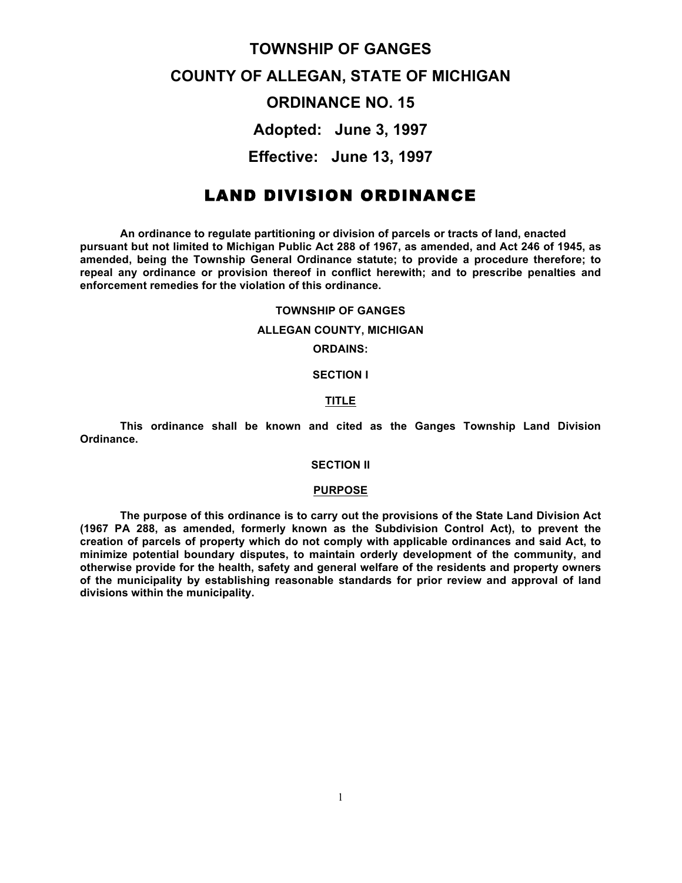## **TOWNSHIP OF GANGES**

# **COUNTY OF ALLEGAN, STATE OF MICHIGAN**

## **ORDINANCE NO. 15**

**Adopted: June 3, 1997**

**Effective: June 13, 1997**

## LAND DIVISION ORDINANCE

**An ordinance to regulate partitioning or division of parcels or tracts of land, enacted pursuant but not limited to Michigan Public Act 288 of 1967, as amended, and Act 246 of 1945, as amended, being the Township General Ordinance statute; to provide a procedure therefore; to repeal any ordinance or provision thereof in conflict herewith; and to prescribe penalties and enforcement remedies for the violation of this ordinance.**

#### **TOWNSHIP OF GANGES**

## **ALLEGAN COUNTY, MICHIGAN**

**ORDAINS:**

**SECTION I**

## **TITLE**

**This ordinance shall be known and cited as the Ganges Township Land Division Ordinance.**

## **SECTION II**

## **PURPOSE**

**The purpose of this ordinance is to carry out the provisions of the State Land Division Act (1967 PA 288, as amended, formerly known as the Subdivision Control Act), to prevent the creation of parcels of property which do not comply with applicable ordinances and said Act, to minimize potential boundary disputes, to maintain orderly development of the community, and otherwise provide for the health, safety and general welfare of the residents and property owners of the municipality by establishing reasonable standards for prior review and approval of land divisions within the municipality.**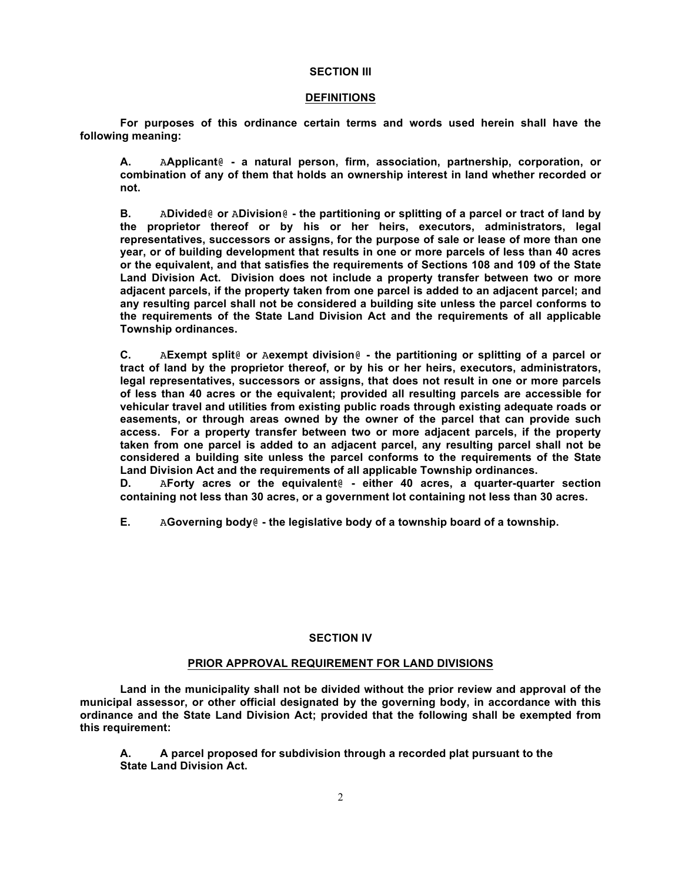#### **SECTION III**

## **DEFINITIONS**

**For purposes of this ordinance certain terms and words used herein shall have the following meaning:**

**A.** A**Applicant**@ **- a natural person, firm, association, partnership, corporation, or combination of any of them that holds an ownership interest in land whether recorded or not.**

**B.** A**Divided**@ **or** A**Division**@ **- the partitioning or splitting of a parcel or tract of land by the proprietor thereof or by his or her heirs, executors, administrators, legal representatives, successors or assigns, for the purpose of sale or lease of more than one year, or of building development that results in one or more parcels of less than 40 acres or the equivalent, and that satisfies the requirements of Sections 108 and 109 of the State Land Division Act. Division does not include a property transfer between two or more adjacent parcels, if the property taken from one parcel is added to an adjacent parcel; and any resulting parcel shall not be considered a building site unless the parcel conforms to the requirements of the State Land Division Act and the requirements of all applicable Township ordinances.**

**C.** A**Exempt split**@ **or** A**exempt division**@ **- the partitioning or splitting of a parcel or tract of land by the proprietor thereof, or by his or her heirs, executors, administrators, legal representatives, successors or assigns, that does not result in one or more parcels of less than 40 acres or the equivalent; provided all resulting parcels are accessible for vehicular travel and utilities from existing public roads through existing adequate roads or easements, or through areas owned by the owner of the parcel that can provide such access. For a property transfer between two or more adjacent parcels, if the property taken from one parcel is added to an adjacent parcel, any resulting parcel shall not be considered a building site unless the parcel conforms to the requirements of the State Land Division Act and the requirements of all applicable Township ordinances.** 

**D.** A**Forty acres or the equivalent**@ **- either 40 acres, a quarter-quarter section containing not less than 30 acres, or a government lot containing not less than 30 acres.**

**E.** A**Governing body**@ **- the legislative body of a township board of a township.**

## **SECTION IV**

## **PRIOR APPROVAL REQUIREMENT FOR LAND DIVISIONS**

**Land in the municipality shall not be divided without the prior review and approval of the municipal assessor, or other official designated by the governing body, in accordance with this ordinance and the State Land Division Act; provided that the following shall be exempted from this requirement:**

**A. A parcel proposed for subdivision through a recorded plat pursuant to the State Land Division Act.**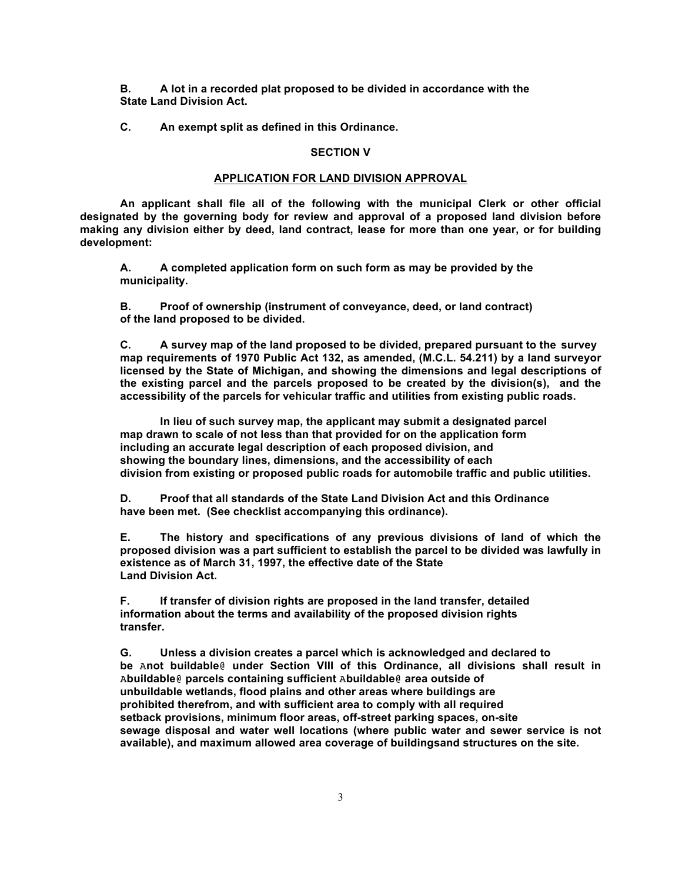**B. A lot in a recorded plat proposed to be divided in accordance with the State Land Division Act.**

**C. An exempt split as defined in this Ordinance.**

## **SECTION V**

## **APPLICATION FOR LAND DIVISION APPROVAL**

**An applicant shall file all of the following with the municipal Clerk or other official designated by the governing body for review and approval of a proposed land division before making any division either by deed, land contract, lease for more than one year, or for building development:**

**A. A completed application form on such form as may be provided by the municipality.**

**B. Proof of ownership (instrument of conveyance, deed, or land contract) of the land proposed to be divided.**

**C. A survey map of the land proposed to be divided, prepared pursuant to the survey map requirements of 1970 Public Act 132, as amended, (M.C.L. 54.211) by a land surveyor licensed by the State of Michigan, and showing the dimensions and legal descriptions of the existing parcel and the parcels proposed to be created by the division(s), and the accessibility of the parcels for vehicular traffic and utilities from existing public roads.**

**In lieu of such survey map, the applicant may submit a designated parcel map drawn to scale of not less than that provided for on the application form including an accurate legal description of each proposed division, and showing the boundary lines, dimensions, and the accessibility of each division from existing or proposed public roads for automobile traffic and public utilities.**

**D. Proof that all standards of the State Land Division Act and this Ordinance have been met. (See checklist accompanying this ordinance).**

**E. The history and specifications of any previous divisions of land of which the proposed division was a part sufficient to establish the parcel to be divided was lawfully in existence as of March 31, 1997, the effective date of the State Land Division Act.**

**F. If transfer of division rights are proposed in the land transfer, detailed information about the terms and availability of the proposed division rights transfer.**

**G. Unless a division creates a parcel which is acknowledged and declared to be** A**not buildable**@ **under Section VIII of this Ordinance, all divisions shall result in**  A**buildable**@ **parcels containing sufficient** A**buildable**@ **area outside of unbuildable wetlands, flood plains and other areas where buildings are prohibited therefrom, and with sufficient area to comply with all required setback provisions, minimum floor areas, off-street parking spaces, on-site sewage disposal and water well locations (where public water and sewer service is not available), and maximum allowed area coverage of buildingsand structures on the site.**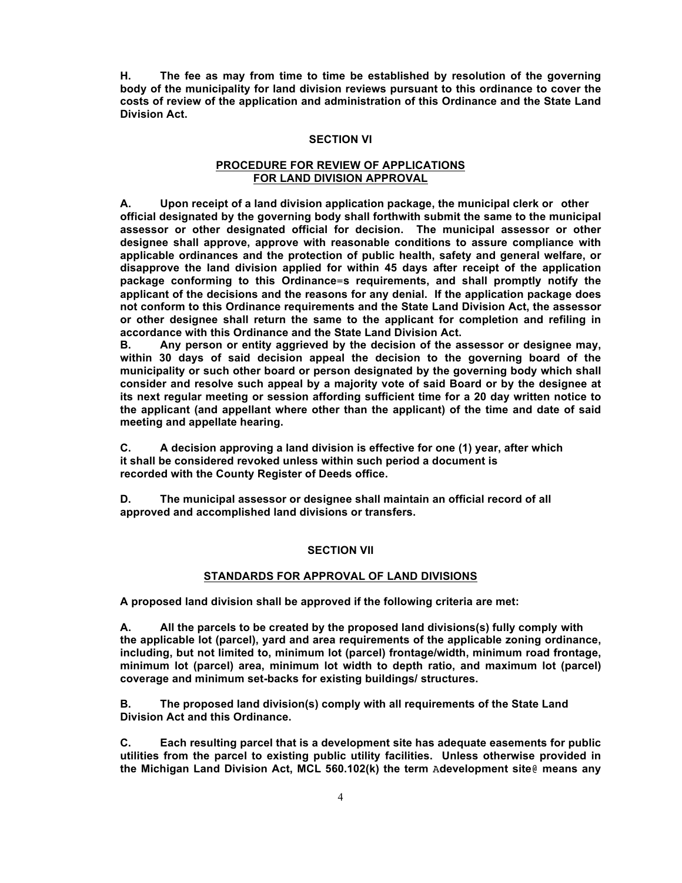**H. The fee as may from time to time be established by resolution of the governing body of the municipality for land division reviews pursuant to this ordinance to cover the costs of review of the application and administration of this Ordinance and the State Land Division Act.**

## **SECTION VI**

## **PROCEDURE FOR REVIEW OF APPLICATIONS FOR LAND DIVISION APPROVAL**

**A. Upon receipt of a land division application package, the municipal clerk or other official designated by the governing body shall forthwith submit the same to the municipal assessor or other designated official for decision. The municipal assessor or other designee shall approve, approve with reasonable conditions to assure compliance with applicable ordinances and the protection of public health, safety and general welfare, or disapprove the land division applied for within 45 days after receipt of the application package conforming to this Ordinance**=**s requirements, and shall promptly notify the applicant of the decisions and the reasons for any denial. If the application package does not conform to this Ordinance requirements and the State Land Division Act, the assessor or other designee shall return the same to the applicant for completion and refiling in accordance with this Ordinance and the State Land Division Act.**

**B. Any person or entity aggrieved by the decision of the assessor or designee may, within 30 days of said decision appeal the decision to the governing board of the municipality or such other board or person designated by the governing body which shall consider and resolve such appeal by a majority vote of said Board or by the designee at its next regular meeting or session affording sufficient time for a 20 day written notice to the applicant (and appellant where other than the applicant) of the time and date of said meeting and appellate hearing.**

**C. A decision approving a land division is effective for one (1) year, after which it shall be considered revoked unless within such period a document is recorded with the County Register of Deeds office.**

**D. The municipal assessor or designee shall maintain an official record of all approved and accomplished land divisions or transfers.**

## **SECTION VII**

## **STANDARDS FOR APPROVAL OF LAND DIVISIONS**

**A proposed land division shall be approved if the following criteria are met:**

**A. All the parcels to be created by the proposed land divisions(s) fully comply with the applicable lot (parcel), yard and area requirements of the applicable zoning ordinance, including, but not limited to, minimum lot (parcel) frontage/width, minimum road frontage, minimum lot (parcel) area, minimum lot width to depth ratio, and maximum lot (parcel) coverage and minimum set-backs for existing buildings/ structures.**

**B. The proposed land division(s) comply with all requirements of the State Land Division Act and this Ordinance.**

**C. Each resulting parcel that is a development site has adequate easements for public utilities from the parcel to existing public utility facilities. Unless otherwise provided in the Michigan Land Division Act, MCL 560.102(k) the term** A**development site**@ **means any**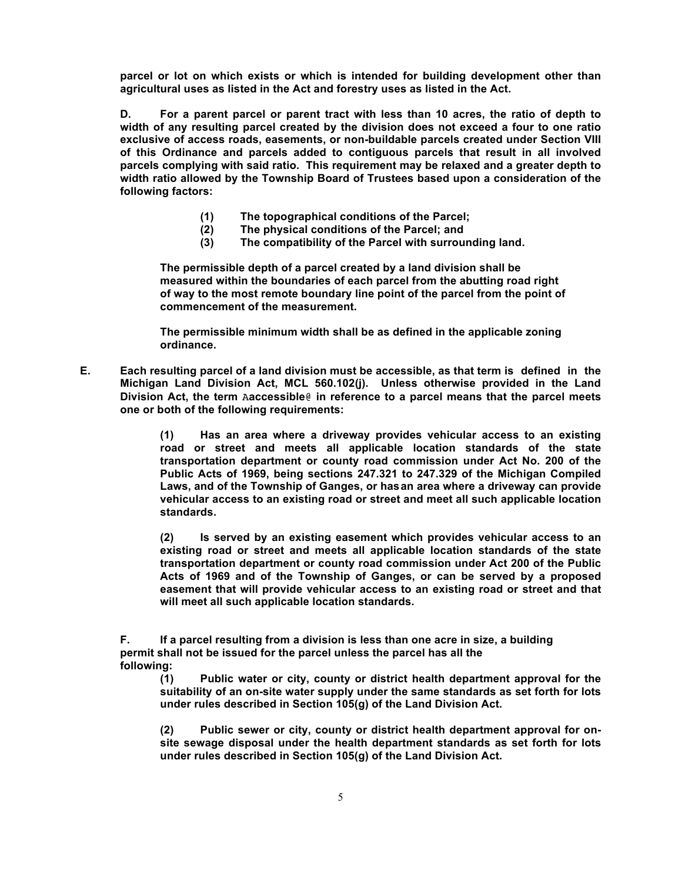**parcel or lot on which exists or which is intended for building development other than agricultural uses as listed in the Act and forestry uses as listed in the Act.** 

**D. For a parent parcel or parent tract with less than 10 acres, the ratio of depth to width of any resulting parcel created by the division does not exceed a four to one ratio exclusive of access roads, easements, or non-buildable parcels created under Section VIII of this Ordinance and parcels added to contiguous parcels that result in all involved parcels complying with said ratio. This requirement may be relaxed and a greater depth to width ratio allowed by the Township Board of Trustees based upon a consideration of the following factors:**

- **(1) The topographical conditions of the Parcel;**
- **(2) The physical conditions of the Parcel; and**
- **(3) The compatibility of the Parcel with surrounding land.**

**The permissible depth of a parcel created by a land division shall be measured within the boundaries of each parcel from the abutting road right of way to the most remote boundary line point of the parcel from the point of commencement of the measurement.**

**The permissible minimum width shall be as defined in the applicable zoning ordinance.**

**E. Each resulting parcel of a land division must be accessible, as that term is defined in the Michigan Land Division Act, MCL 560.102(j). Unless otherwise provided in the Land Division Act, the term** A**accessible**@ **in reference to a parcel means that the parcel meets one or both of the following requirements:**

> **(1) Has an area where a driveway provides vehicular access to an existing road or street and meets all applicable location standards of the state transportation department or county road commission under Act No. 200 of the Public Acts of 1969, being sections 247.321 to 247.329 of the Michigan Compiled Laws, and of the Township of Ganges, or hasan area where a driveway can provide vehicular access to an existing road or street and meet all such applicable location standards.**

> **(2) Is served by an existing easement which provides vehicular access to an existing road or street and meets all applicable location standards of the state transportation department or county road commission under Act 200 of the Public Acts of 1969 and of the Township of Ganges, or can be served by a proposed easement that will provide vehicular access to an existing road or street and that will meet all such applicable location standards.**

**F. If a parcel resulting from a division is less than one acre in size, a building permit shall not be issued for the parcel unless the parcel has all the following:**

**(1) Public water or city, county or district health department approval for the suitability of an on-site water supply under the same standards as set forth for lots under rules described in Section 105(g) of the Land Division Act.**

**(2) Public sewer or city, county or district health department approval for onsite sewage disposal under the health department standards as set forth for lots under rules described in Section 105(g) of the Land Division Act.**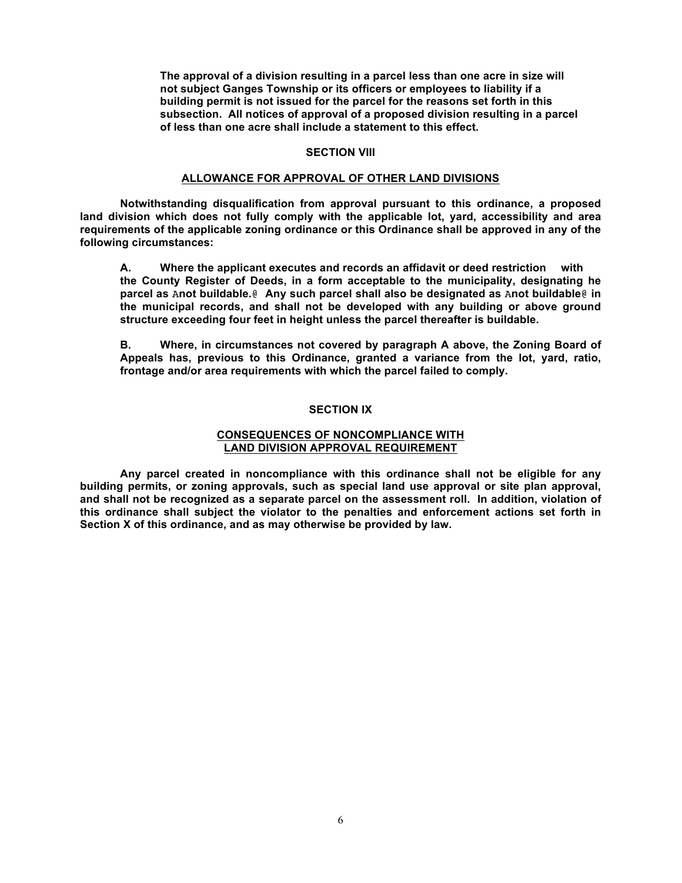**The approval of a division resulting in a parcel less than one acre in size will not subject Ganges Township or its officers or employees to liability if a building permit is not issued for the parcel for the reasons set forth in this subsection. All notices of approval of a proposed division resulting in a parcel of less than one acre shall include a statement to this effect.**

## **SECTION VIII**

## **ALLOWANCE FOR APPROVAL OF OTHER LAND DIVISIONS**

**Notwithstanding disqualification from approval pursuant to this ordinance, a proposed land division which does not fully comply with the applicable lot, yard, accessibility and area requirements of the applicable zoning ordinance or this Ordinance shall be approved in any of the following circumstances:**

**A. Where the applicant executes and records an affidavit or deed restriction with the County Register of Deeds, in a form acceptable to the municipality, designating he parcel as** A**not buildable.**@ **Any such parcel shall also be designated as** A**not buildable**@ **in the municipal records, and shall not be developed with any building or above ground structure exceeding four feet in height unless the parcel thereafter is buildable.**

**B. Where, in circumstances not covered by paragraph A above, the Zoning Board of Appeals has, previous to this Ordinance, granted a variance from the lot, yard, ratio, frontage and/or area requirements with which the parcel failed to comply.**

#### **SECTION IX**

## **CONSEQUENCES OF NONCOMPLIANCE WITH LAND DIVISION APPROVAL REQUIREMENT**

**Any parcel created in noncompliance with this ordinance shall not be eligible for any building permits, or zoning approvals, such as special land use approval or site plan approval, and shall not be recognized as a separate parcel on the assessment roll. In addition, violation of this ordinance shall subject the violator to the penalties and enforcement actions set forth in Section X of this ordinance, and as may otherwise be provided by law.**